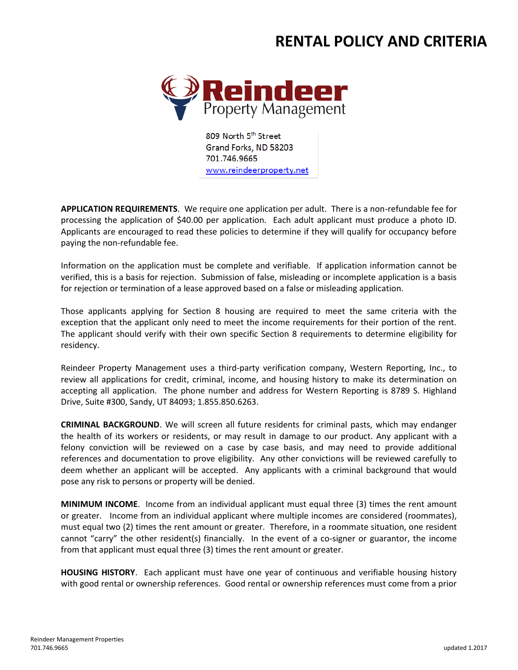## **RENTAL POLICY AND CRITERIA**



809 North 5th Street Grand Forks, ND 58203 701.746.9665 www.reindeerproperty.net

**APPLICATION REQUIREMENTS**. We require one application per adult. There is a non-refundable fee for processing the application of \$40.00 per application. Each adult applicant must produce a photo ID. Applicants are encouraged to read these policies to determine if they will qualify for occupancy before paying the non-refundable fee.

Information on the application must be complete and verifiable. If application information cannot be verified, this is a basis for rejection. Submission of false, misleading or incomplete application is a basis for rejection or termination of a lease approved based on a false or misleading application.

Those applicants applying for Section 8 housing are required to meet the same criteria with the exception that the applicant only need to meet the income requirements for their portion of the rent. The applicant should verify with their own specific Section 8 requirements to determine eligibility for residency.

Reindeer Property Management uses a third-party verification company, Western Reporting, Inc., to review all applications for credit, criminal, income, and housing history to make its determination on accepting all application. The phone number and address for Western Reporting is 8789 S. Highland Drive, Suite #300, Sandy, UT 84093; 1.855.850.6263.

**CRIMINAL BACKGROUND**. We will screen all future residents for criminal pasts, which may endanger the health of its workers or residents, or may result in damage to our product. Any applicant with a felony conviction will be reviewed on a case by case basis, and may need to provide additional references and documentation to prove eligibility. Any other convictions will be reviewed carefully to deem whether an applicant will be accepted. Any applicants with a criminal background that would pose any risk to persons or property will be denied.

**MINIMUM INCOME**. Income from an individual applicant must equal three (3) times the rent amount or greater. Income from an individual applicant where multiple incomes are considered (roommates), must equal two (2) times the rent amount or greater. Therefore, in a roommate situation, one resident cannot "carry" the other resident(s) financially. In the event of a co-signer or guarantor, the income from that applicant must equal three (3) times the rent amount or greater.

**HOUSING HISTORY**. Each applicant must have one year of continuous and verifiable housing history with good rental or ownership references. Good rental or ownership references must come from a prior